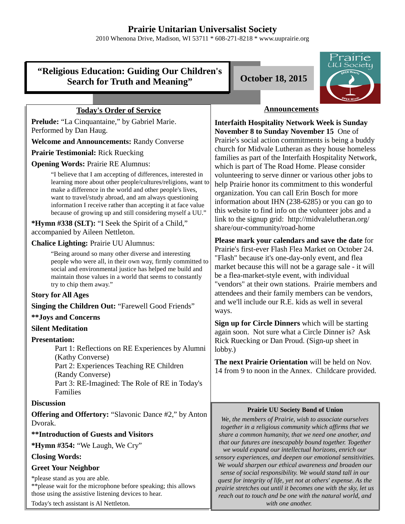# **Prairie Unitarian Universalist Society**

2010 Whenona Drive, Madison, WI 53711 \* 608-271-8218 \* www.uuprairie.org

## **"Religious Education: Guiding Our Children's Search for Truth and Meaning" October 18, 2015**



## **Today's Order of Service**

**Prelude:** "La Cinquantaine," by Gabriel Marie. Performed by Dan Haug.

**Welcome and Announcements:** Randy Converse

**Prairie Testimonial:** Rick Ruecking

**Opening Words:** Prairie RE Alumnus:

"I believe that I am accepting of differences, interested in learning more about other people/cultures/religions, want to make a difference in the world and other people's lives, want to travel/study abroad, and am always questioning information I receive rather than accepting it at face value because of growing up and still considering myself a UU."

**\*Hymn #338 (SLT):** "I Seek the Spirit of a Child," accompanied by Aileen Nettleton.

**Chalice Lighting:** Prairie UU Alumnus:

"Being around so many other diverse and interesting people who were all, in their own way, firmly committed to social and environmental justice has helped me build and maintain those values in a world that seems to constantly try to chip them away."

## **Story for All Ages**

**Singing the Children Out:** "Farewell Good Friends"

#### **\*\*Joys and Concerns**

#### **Silent Meditation**

#### **Presentation:**

Part 1: Reflections on RE Experiences by Alumni (Kathy Converse) Part 2: Experiences Teaching RE Children (Randy Converse) Part 3: RE-Imagined: The Role of RE in Today's Families

#### **Discussion**

**Offering and Offertory:** "Slavonic Dance #2," by Anton Dvorak.

## **\*\*Introduction of Guests and Visitors**

**\*Hymn #354:** "We Laugh, We Cry"

## **Closing Words:**

## **Greet Your Neighbor**

\*please stand as you are able. \*\*please wait for the microphone before speaking; this allows those using the assistive listening devices to hear.

Today's tech assistant is Al Nettleton.

## **Announcements**

**Interfaith Hospitality Network Week is Sunday November 8 to Sunday November 15** One of Prairie's social action commitments is being a buddy church for Midvale Lutheran as they house homeless families as part of the Interfaith Hospitality Network, which is part of The Road Home. Please consider volunteering to serve dinner or various other jobs to help Prairie honor its commitment to this wonderful organization. You can call Erin Bosch for more information about IHN (238-6285) or you can go to this website to find info on the volunteer jobs and a link to the signup grid: http://midvalelutheran.org/ share/our-community/road-home

**Please mark your calendars and save the date** for Prairie's first-ever Flash Flea Market on October 24. "Flash" because it's one-day-only event, and flea market because this will not be a garage sale - it will be a flea-market-style event, with individual "vendors" at their own stations. Prairie members and attendees and their family members can be vendors, and we'll include our R.E. kids as well in several ways.

**Sign up for Circle Dinners** which will be starting again soon. Not sure what a Circle Dinner is? Ask Rick Ruecking or Dan Proud. (Sign-up sheet in lobby.)

**The next Prairie Orientation** will be held on Nov. 14 from 9 to noon in the Annex. Childcare provided.

#### **Prairie UU Society Bond of Union**

*We, the members of Prairie, wish to associate ourselves together in a religious community which affirms that we share a common humanity, that we need one another, and that our futures are inescapably bound together. Together we would expand our intellectual horizons, enrich our sensory experiences, and deepen our emotional sensitivities. We would sharpen our ethical awareness and broaden our sense of social responsibility. We would stand tall in our quest for integrity of life, yet not at others' expense. As the prairie stretches out until it becomes one with the sky, let us reach out to touch and be one with the natural world, and with one another.*